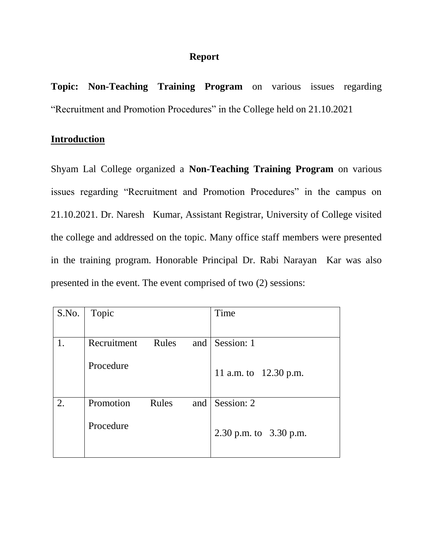## **Report**

**Topic: Non-Teaching Training Program** on various issues regarding "Recruitment and Promotion Procedures" in the College held on 21.10.2021

## **Introduction**

Shyam Lal College organized a **Non-Teaching Training Program** on various issues regarding "Recruitment and Promotion Procedures" in the campus on 21.10.2021. Dr. Naresh Kumar, Assistant Registrar, University of College visited the college and addressed on the topic. Many office staff members were presented in the training program. Honorable Principal Dr. Rabi Narayan Kar was also presented in the event. The event comprised of two (2) sessions:

| S.No. | Topic                | Time                     |
|-------|----------------------|--------------------------|
|       |                      |                          |
| 1.    | Rules<br>Recruitment | Session: 1<br>and        |
|       | Procedure            | 11 a.m. to 12.30 p.m.    |
| 2.    | Promotion<br>Rules   | Session: 2<br>and        |
|       | Procedure            | 2.30 p.m. to $3.30$ p.m. |